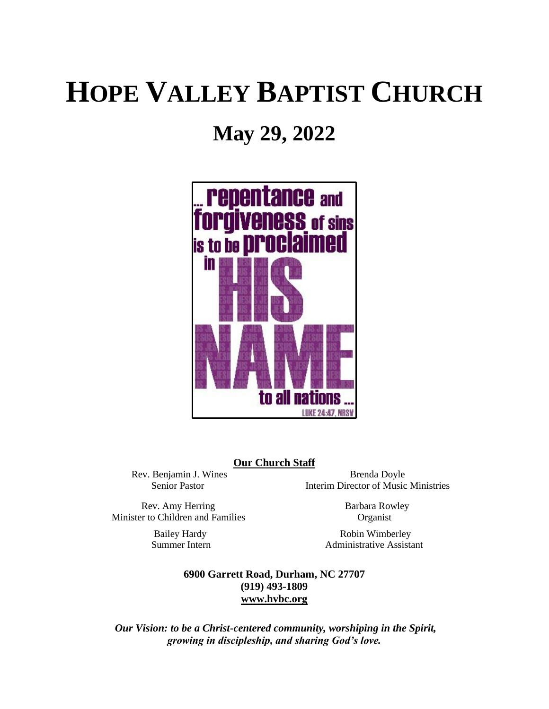# **HOPE VALLEY BAPTIST CHURCH**

# **May 29, 2022**



#### **Our Church Staff**

Rev. Benjamin J. Wines Brenda Doyle Senior Pastor **Interim Director of Music Ministries** 

Rev. Amy Herring Barbara Rowley Minister to Children and Families Organist

Bailey Hardy **Robin Wimberley** Summer Intern Administrative Assistant

> **6900 Garrett Road, Durham, NC 27707 (919) 493-1809 [www.hvbc.org](https://nam02.safelinks.protection.outlook.com/?url=http%3A%2F%2Fwww.hvbc.org%2F&data=04%7C01%7Crobin%40hvbc.org%7Ca1947220efe048d45f2008d90f3f5013%7C19334143b857471a909f515a9e93cce3%7C0%7C0%7C637557586922368739%7CUnknown%7CTWFpbGZsb3d8eyJWIjoiMC4wLjAwMDAiLCJQIjoiV2luMzIiLCJBTiI6Ik1haWwiLCJXVCI6Mn0%3D%7C1000&sdata=vD8UY%2Ft%2Bw4fHfO%2FGyoDO3ShGm4jsX4L5zIVu36neNyk%3D&reserved=0)**

*Our Vision: to be a Christ-centered community, worshiping in the Spirit, growing in discipleship, and sharing God's love.*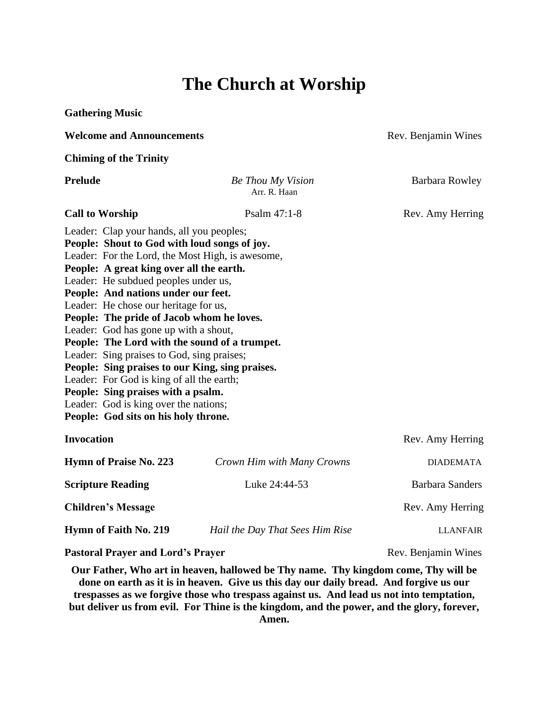## **The Church at Worship**

| <b>Gathering Music</b>                                                                                                                                                                                                                                                                                                                                                                                                                                                                                                                                                                                                                                                                                                        |                                          |                        |
|-------------------------------------------------------------------------------------------------------------------------------------------------------------------------------------------------------------------------------------------------------------------------------------------------------------------------------------------------------------------------------------------------------------------------------------------------------------------------------------------------------------------------------------------------------------------------------------------------------------------------------------------------------------------------------------------------------------------------------|------------------------------------------|------------------------|
| <b>Welcome and Announcements</b>                                                                                                                                                                                                                                                                                                                                                                                                                                                                                                                                                                                                                                                                                              |                                          | Rev. Benjamin Wines    |
| <b>Chiming of the Trinity</b>                                                                                                                                                                                                                                                                                                                                                                                                                                                                                                                                                                                                                                                                                                 |                                          |                        |
| <b>Prelude</b>                                                                                                                                                                                                                                                                                                                                                                                                                                                                                                                                                                                                                                                                                                                | <b>Be Thou My Vision</b><br>Arr. R. Haan | <b>Barbara Rowley</b>  |
| <b>Call to Worship</b>                                                                                                                                                                                                                                                                                                                                                                                                                                                                                                                                                                                                                                                                                                        | Psalm 47:1-8                             | Rev. Amy Herring       |
| Leader: Clap your hands, all you peoples;<br>People: Shout to God with loud songs of joy.<br>Leader: For the Lord, the Most High, is awesome,<br>People: A great king over all the earth.<br>Leader: He subdued peoples under us,<br>People: And nations under our feet.<br>Leader: He chose our heritage for us,<br>People: The pride of Jacob whom he loves.<br>Leader: God has gone up with a shout,<br>People: The Lord with the sound of a trumpet.<br>Leader: Sing praises to God, sing praises;<br>People: Sing praises to our King, sing praises.<br>Leader: For God is king of all the earth;<br>People: Sing praises with a psalm.<br>Leader: God is king over the nations;<br>People: God sits on his holy throne. |                                          |                        |
| <b>Invocation</b>                                                                                                                                                                                                                                                                                                                                                                                                                                                                                                                                                                                                                                                                                                             |                                          | Rev. Amy Herring       |
| <b>Hymn of Praise No. 223</b>                                                                                                                                                                                                                                                                                                                                                                                                                                                                                                                                                                                                                                                                                                 | Crown Him with Many Crowns               | <b>DIADEMATA</b>       |
| <b>Scripture Reading</b>                                                                                                                                                                                                                                                                                                                                                                                                                                                                                                                                                                                                                                                                                                      | Luke 24:44-53                            | <b>Barbara Sanders</b> |
| <b>Children's Message</b>                                                                                                                                                                                                                                                                                                                                                                                                                                                                                                                                                                                                                                                                                                     |                                          | Rev. Amy Herring       |
| <b>Hymn of Faith No. 219</b>                                                                                                                                                                                                                                                                                                                                                                                                                                                                                                                                                                                                                                                                                                  | Hail the Day That Sees Him Rise          | <b>LLANFAIR</b>        |
| <b>Pastoral Prayer and Lord's Prayer</b>                                                                                                                                                                                                                                                                                                                                                                                                                                                                                                                                                                                                                                                                                      | Rev. Benjamin Wines                      |                        |

**Our Father, Who art in heaven, hallowed be Thy name. Thy kingdom come, Thy will be done on earth as it is in heaven. Give us this day our daily bread. And forgive us our trespasses as we forgive those who trespass against us. And lead us not into temptation, but deliver us from evil. For Thine is the kingdom, and the power, and the glory, forever,** 

**Amen.**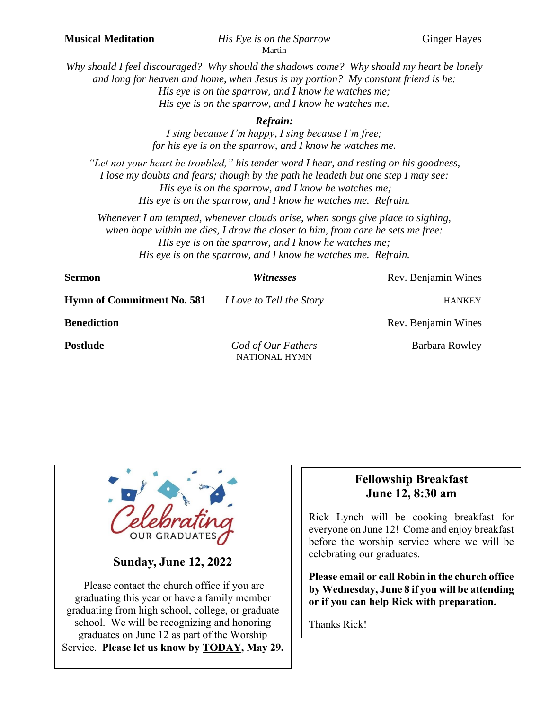*Why should I feel discouraged? Why should the shadows come? Why should my heart be lonely and long for heaven and home, when Jesus is my portion? My constant friend is he: His eye is on the sparrow, and I know he watches me; His eye is on the sparrow, and I know he watches me.*

#### *Refrain:*

*I sing because I'm happy, I sing because I'm free; for his eye is on the sparrow, and I know he watches me.*

*"Let not your heart be troubled," his tender word I hear, and resting on his goodness, I lose my doubts and fears; though by the path he leadeth but one step I may see: His eye is on the sparrow, and I know he watches me; His eye is on the sparrow, and I know he watches me. Refrain.*

*Whenever I am tempted, whenever clouds arise, when songs give place to sighing, when hope within me dies, I draw the closer to him, from care he sets me free: His eye is on the sparrow, and I know he watches me; His eye is on the sparrow, and I know he watches me. Refrain.*

| <b>Sermon</b>                                                     | <i>Witnesses</i>                           | Rev. Benjamin Wines |
|-------------------------------------------------------------------|--------------------------------------------|---------------------|
| <b>Hymn of Commitment No. 581</b> <i>I Love to Tell the Story</i> |                                            | <b>HANKEY</b>       |
| <b>Benediction</b>                                                |                                            | Rev. Benjamin Wines |
| <b>Postlude</b>                                                   | God of Our Fathers<br><b>NATIONAL HYMN</b> | Barbara Rowley      |



**Sunday, June 12, 2022**

Please contact the church office if you are graduating this year or have a family member graduating from high school, college, or graduate school. We will be recognizing and honoring graduates on June 12 as part of the Worship Service. **Please let us know by TODAY, May 29.**

#### **Fellowship Breakfast June 12, 8:30 am**

Rick Lynch will be cooking breakfast for everyone on June 12! Come and enjoy breakfast before the worship service where we will be celebrating our graduates.

**Please email or call Robin in the church office by Wednesday, June 8 if you will be attending or if you can help Rick with preparation.**

Thanks Rick!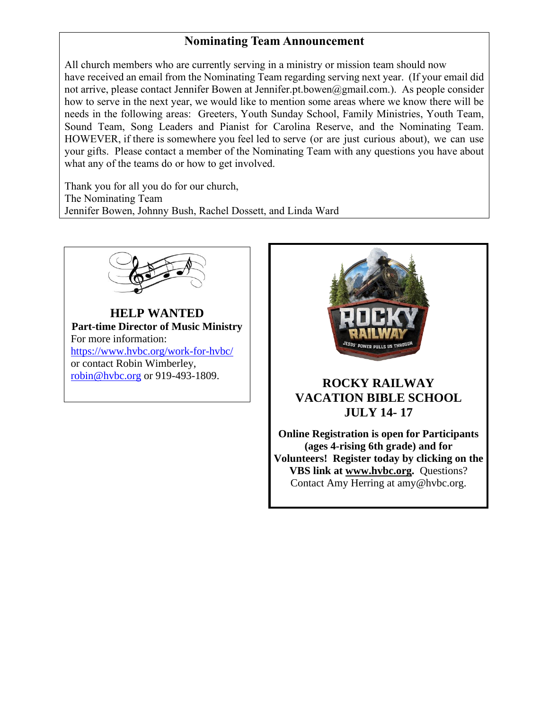#### **Nominating Team Announcement**

All church members who are currently serving in a ministry or mission team should now have received an email from the Nominating Team regarding serving next year. (If your email did not arrive, please contact Jennifer Bowen at Jennifer.pt.bowen@gmail.com.). As people consider how to serve in the next year, we would like to mention some areas where we know there will be needs in the following areas: Greeters, Youth Sunday School, Family Ministries, Youth Team, Sound Team, Song Leaders and Pianist for Carolina Reserve, and the Nominating Team. HOWEVER, if there is somewhere you feel led to serve (or are just curious about), we can use your gifts. Please contact a member of the Nominating Team with any questions you have about what any of the teams do or how to get involved.

Thank you for all you do for our church, The Nominating Team Jennifer Bowen, Johnny Bush, Rachel Dossett, and Linda Ward



**HELP WANTED Part-time Director of Music Ministry** For more information: <https://www.hvbc.org/work-for-hvbc/> or contact Robin Wimberley, [robin@hvbc.org](mailto:robin@hvbc.org) or 919-493-1809.



#### **ROCKY RAILWAY VACATION BIBLE SCHOOL JULY 14- 17**

**Online Registration is open for Participants (ages 4-rising 6th grade) and for Volunteers! Register today by clicking on the VBS link at [www.hvbc.org.](https://nam02.safelinks.protection.outlook.com/?url=http%3A%2F%2Fwww.hvbc.org%2F&data=05%7C01%7Crobin%40hvbc.org%7Cf0b1702c2bf54323c78b08da3d9a429e%7C19334143b857471a909f515a9e93cce3%7C0%7C0%7C637890030011078272%7CUnknown%7CTWFpbGZsb3d8eyJWIjoiMC4wLjAwMDAiLCJQIjoiV2luMzIiLCJBTiI6Ik1haWwiLCJXVCI6Mn0%3D%7C3000%7C%7C%7C&sdata=EF%2BHrPWSspnw354FeWW0Y0v3u0gFr8g7StFcfwUmDvk%3D&reserved=0)** Questions? Contact Amy Herring at amy@hvbc.org.